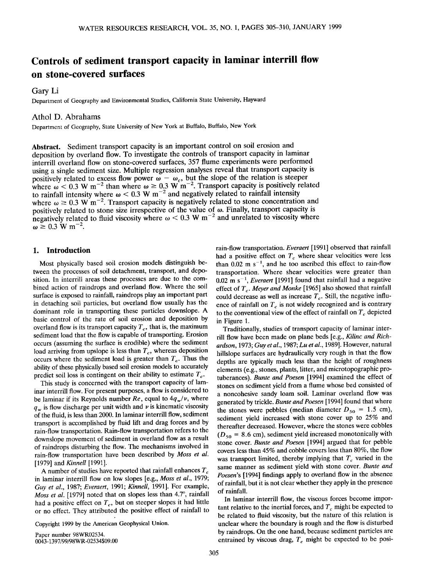# Controls of sediment transport capacity in laminar interrill flow **on stone-covered surfaces**

**Gary Li** 

**Department of Geography and Environmental Studies, California State University, Hayward** 

# **Athol D. Abrahams**

Department of Geography, State University of New York at Buffalo, Buffalo, New York

**Abstract. Sediment transport capacity is an important control on soil erosion and**  deposition by overland flow. To investigate the controls of transport capacity in laminar **interrill overland flow on stone-covered surfaces, 357 flume experiments were performed using asingle sediment size. Multiple regression aalyses reveal that transport capacity is** positively related to excess flow power  $\omega - \omega_c$ , but the slope of the relation is steeper where  $\omega$  < 0.3 W m<sup>-2</sup> than where  $\omega \ge 0.3$  W m<sup>-2</sup>. Transport capacity is positively related to rainfall intensity where  $\omega < 0.3$  W m<sup>-2</sup> and negatively related to rainfall intensity where  $\omega \geq 0.3$  W m<sup>-2</sup>. Transport capacity is negatively related to stone concentration and positively related to stone size irrespective of the value of  $\omega$ . Finally, transport capacity is negatively related to fluid viscosity where  $\omega < 0.3$  W m<sup>-2</sup> and unrelated to viscosity where  $\omega \ge 0.3 \text{ W m}^{-2}$ .

# **1. Introduction**

**Most physically based soil erosion models distinguish be**tween the processes of soil detachment, transport, and depo**sition. In interrill areas these processes are due to the combined action of raindrops and overland flow. Where the soil surface is exposed to rainfall, raindrops play an important part in detaching soil particles, but overland flow usually has the dominant role in transporting these particles downslope. A basic control of the rate of soil erosion and deposition by**  overland flow is its transport capacity  $T_c$ , that is, the maximum **sediment load that the flow is capable of transporting. Erosion occurs (assuming the surface is erodible) where the sediment**  load arriving from upslope is less than  $T_c$ , whereas deposition occurs where the sediment load is greater than  $T_c$ . Thus the **ability of these physically based soil erosion models to accurately**  predict soil loss is contingent on their ability to estimate  $T_c$ .

**This study is concerned with the transport capacity of laminar interrill flow. For present purposes, a flow is considered to**  be laminar if its Reynolds number  $Re$ , equal to  $4q_w/v$ , where  $q_w$  is flow discharge per unit width and  $\nu$  is kinematic viscosity **of the fluid, is less than 2000. In laminar interrill flow, sediment transport is accomplished by fluid lift and drag forces and by rain-flow transportation. Rain-flow transportation refers to the downslope movement of sediment in overland flow as a result of raindrops disturbing the flow. The mechanisms involved in rain-flow transportation have been described by Moss et al. [1979] and Kinnell [1991].** 

**A number of studies have reported that rainfall enhances T• in laminar interrill flow on low slopes [e.g., Moss et al., 1979; Guy et al., 1987; Everaert, 1991; Kinnell, 1991]. For example,**  *Moss et al.* [1979] noted that on slopes less than 4.7°, rainfall had a positive effect on  $T_c$ , but on steeper slopes it had little **or no effect. They attributed the positive effect of rainfall to** 

**Copyright 1999 by the American Geophysical Union.** 

**Paper number 98WR02534. 0043-1397/99/98WR-02534509.00**  **rain-flow transportation. Everaert [1991] observed that rainfall**  had a positive effect on  $T_c$  where shear velocities were less than  $0.02 \text{ m s}^{-1}$ , and he too ascribed this effect to rain-flow **transportation. Where shear velocities were greater than**  0.02 m s<sup>-1</sup>, *Everaert* [1991] found that rainfall had a negative effect of T<sub>c</sub>. Meyer and Monke [1965] also showed that rainfall could decrease as well as increase  $T_c$ . Still, the negative influence of rainfall on  $T<sub>c</sub>$  is not widely recognized and is contrary to the conventional view of the effect of rainfall on  $T_c$  depicted **in Figure 1.** 

**Traditionally, studies of transport capacity of larninar interrill flow have been made on plane beds [e.g., Kilinc and Richardson, 1973; Guy et al., 1987; Lu et al., 1989]. However, natural hillslope surfaces are hydraulically very rough in that the flow depths are typically much less than the height of roughness elements (e.g., stones, plants, litter, and microtopographic protuberances). Bunte and Poesen [1994] examined the effect of stones on sediment yield from a flume whose bed consisted of a noncohesive sandy loam soil. Larninar overland flow was generated by trickle. Bunte and Poesen [1994] found that where**  the stones were pebbles (median diameter  $D_{50} = 1.5$  cm), **sediment yield increased with stone cover up to 25% and thereafter decreased. However, where the stones were cobbles**   $(D_{50} = 8.6 \text{ cm})$ , sediment yield increased monotonically with **stone cover. Bunte and Poesen [1994] argued that for pebble covers less than 45% and cobble covers less than 80%, the flow**  was transport limited, thereby implying that  $T_c$  varied in the **same manner as sediment yield with stone cover. Bunte and Poesen's [1994] findings apply to overland flow in the absence of rainfall, but it is not clear whether they apply in the presence of rainfall.** 

**In laminar interrill flow, the viscous forces become impor**tant relative to the inertial forces, and  $T_c$  might be expected to **be related to fluid viscosity, but the nature of this relation is unclear where the boundary is rough and the flow is disturbed by raindrops. On the one hand, because sediment particles are**  entrained by viscous drag,  $T_c$  might be expected to be posi-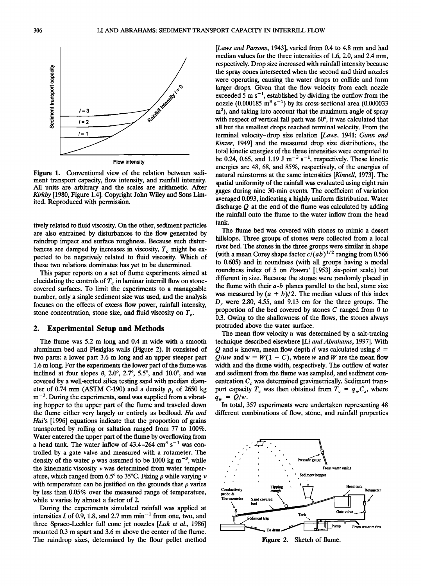

**Figure 1. Conventional view of the relation between sediment transport capacity, flow intensity, and rainfall intensity. All units are arbitrary and the scales are arithmetic. After Kirkby [1980, Figure 1.4]. Copyright John Wiley and Sons Limited. Reproduced with permission.** 

**tively related to fluid viscosity. On the other, sediment particles are also entrained by disturbances to the flow generated by raindrop impact and surface roughness. Because such distur**bances are damped by increases in viscosity,  $T_c$  might be ex**pected to be negatively related to fluid viscosity. Which of these two relations dominates has yet to be determined.** 

**This paper reports on a set of flume experiments aimed at**  elucidating the controls of  $T_c$  in laminar interrill flow on stone**covered surfaces. To limit the experiments to a manageable number, only a single sediment size was used, and the analysis focuses on the effects of excess flow power, rainfall intensity,**  stone concentration, stone size, and fluid viscosity on  $T_c$ .

# **2. Experimental Setup and Methods**

**The flume was 5.2 m long and 0.4 m wide with a smooth aluminum bed and Plexiglas walls (Figure 2). It consisted of two parts: a lower part 3.6 m long and an upper steeper part 1.6 m long. For the experiments the lower part of the flume was**  inclined at four slopes  $\theta$ , 2.0°, 2.7°, 5.5°, and 10.0°, and was **covered by a well-sorted silica testing sand with median diam**eter of 0.74 mm (ASTM C-190) and a density  $\rho_s$  of 2650 kg m<sup>-3</sup>. During the experiments, sand was supplied from a vibrat**ing hopper to the upper part of the flume and traveled down the flume either very largely or entirely as bedload. Hu and Hui's [1996] equations indicate that the proportion of grains transported by rolling or saltation ranged from 77 to 100%. Water entered the upper part of the flume by overflowing from**  a head tank. The water inflow of  $43.4 - 264$  cm<sup>3</sup> s<sup>-1</sup> was con**trolled by a gate valve and measured with a rotameter. The**  density of the water  $\rho$  was assumed to be 1000 kg m<sup>-3</sup>, while **the kinematic viscosity v was determined from water temper**ature, which ranged from  $6.5^{\circ}$  to  $35^{\circ}$ C. Fixing  $\rho$  while varying  $\nu$ with temperature can be justified on the grounds that  $\rho$  varies **by less than 0.05% over the measured range of temperature, while v varies by almost a factor of 2.** 

**During the experiments simulated rainfall was applied at**  intensities I of 0.9, 1.8, and 2.7 mm min<sup> $-1$ </sup> from one, two, and **three Sprac0-Lechler full cone jet nozzles [Luk et al., 1986] mounted 0.3 m apart and 3.6 m above the center of the flume. The raindrop sizes, determined by the flour pellet method**  **[Laws and Parsons, 1943], varied from 0.4 to 4.8 mm and had median values for the three intensities of 1.6, 2.0, and 2.4 mm, respectively. Drop size increased with rainfall intensity because the spray cones intersected when the second and third nozzles were operating, causing the water drops to collide and form larger drops. Given that the flow velocity from each nozzle**  exceeded 5 m  $s^{-1}$ , established by dividing the outflow from the nozzle  $(0.000185 \text{ m}^3 \text{ s}^{-1})$  by its cross-sectional area  $(0.000033$ m<sup>2</sup>), and taking into account that the maximum angle of spray with respect of vertical fall path was 60°, it was calculated that **all but the smallest drops reached terminal velocity. From the terminal velocity-drop size relation [Laws, 1941; Gunn and Kinzer, 1949] and the measured drop size distributions, the total kinetic energies of the three intensities were computed to**  be 0.24, 0.65, and 1.19 J  $m^{-2}$  s<sup>-1</sup>, respectively. These kinetic **energies are 48, 68, and 85%, respectively, of the energies of natural rainstorms at the same intensities [Kinnell, 1973]. The spatial uniformity of the rainfall was evaluated using eight rain gages during nine 30-min events. The coefficient of variation averaged 0.093, indicating a highly uniform distribution. Water discharge Q at the end of the flume was calculated by adding the rainfall onto the flume to the water inflow from the head tank.** 

**The flume bed was covered with stones to mimic a desert hillslope. Three groups of stones were collected from a local river bed. The stones in the three groups were similar in shape**  (with a mean Corey shape factor  $c/(ab)^{1/2}$  ranging from 0.566 **to 0.605) and in roundness (with all groups having a modal roundness index of 5 on Powers' [1953] six-point scale) but different in size. Because the stones were randomly placed in the flume with their a-b planes parallel to the bed, stone size**  was measured by  $(a + b)/2$ . The median values of this index D<sub>r</sub> were 2.80, 4.55, and 9.13 cm for the three groups. The **proportion of the bed covered by stones C ranged from 0 to 0.3. Owing to the shallowness of the flows, the stones always protruded above the water surface.** 

**The mean flow velocity u was determined by a salt-tracing**  technique described elsewhere [*Li and Abrahams*, 1997]. With  $Q$  and  $u$  known, mean flow depth  $d$  was calculated using  $d =$  $Q/uw$  and  $w = W(1 - C)$ , where w and W are the mean flow **width and the flume width, respectively. The outflow of water and sediment from the flume was sampled, and sediment con**centration C<sub>s</sub> was determined gravimetrically. Sediment transport capacity  $T_c$  was then obtained from  $T_c = q_w C_s$ , where  $q_w = Q/w$ .

**In total, 357 experiments were undertaken representing 48 different combinations of flow, stone, and rainfall properties** 



**Figure 2. Sketch of flume.**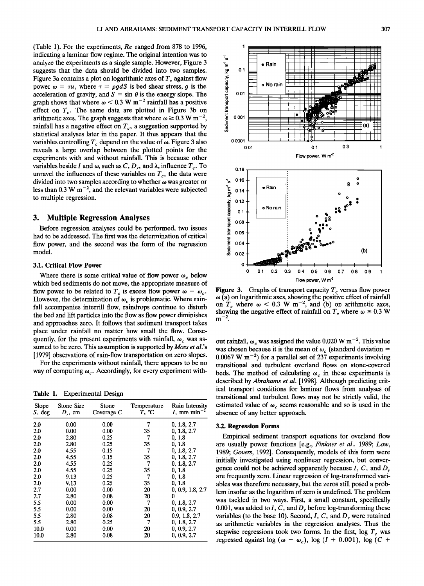**(Table 1). For the experiments, Re ranged from 878 to 1996, 1 indicating a laminar flow regime. The original intention was to analyze the experiments as a single sample. However, Figure 3**  mucating a raminar now regime. The original mierition was to<br>
subgests that the data should be divided into two samples.<br>
• Figure 3 contains a plot on logarithmic axes of  $T_c$  against flow<br>
power  $\omega = \tau u$ , where  $\tau = \rho g d$ **Figure 3a contains a plot on logarithmic axes of**  $I_c$  **against flow**  $\text{row}_{\text{max}}$  or  $\text{row}_{\text{max}}$  is the next given by  $\text{row}_{\text{max}}$ **power**  $\omega = \tau u$ **, where**  $\tau = \rho g a s$  **is bed shear stress, g is the**  $\alpha$ acceleration of gravity, and  $S = \sin \theta$  is the energy slope. The  $\frac{6}{5}$  0.01 graph shows that where  $\omega$  < 0.3 W m<sup>-2</sup> rainfall has a positive effect on  $T_c$ . The same data are plotted in Figure 3b on arithmetic axes. The graph suggests that where  $\omega \ge 0.3$  W m<sup>-2</sup>,  $\frac{1}{2}$  0.001 rainfall has a negative effect on  $T_c$ , a suggestion supported by **statistical analyses later in the paper. It thus appears that the**  variables controlling  $T_c$  depend on the value of  $\omega$ . Figure 3 also 0.0001 <sup>1</sup> reveals a large overlap between the plotted points for the **experiments with and without rainfall. This is because other**  variables beside I and  $\omega$ , such as C, D<sub>r</sub>, and  $\lambda$ , influence  $T_c$ . To  $0.18$ unravel the influences of these variables on  $T_c$ , the data were divided into two samples according to whether  $\omega$  was greater or less than  $0.3 \text{ W m}^{-2}$ , and the relevant variables were subjected **to multiple regression.** 

## **3. Multiple Regression Analyses**

**Before regression analyses could be performed, two issues had to be addressed. The first was the determination of critical flow power, and the second was the form of the regression model.** 

#### **3.1. Critical Flow Power**

Where there is some critical value of flow power  $\omega_c$  below **which bed sediments do not move, the appropriate measure of**  flow power to be related to  $T_c$  is excess flow power  $\omega - \omega_c$ . However, the determination of  $\omega_c$  is problematic. Where rain**fall accompanies interrill flow, raindrops continue to disturb the bed and lift particles into the flow as flow power diminishes and approaches zero. It follows that sediment transport takes place under rainfall no matter how small the flow. Conse**quently, for the present experiments with rainfall,  $\omega_c$  was as**sumed to be zero. This assumption is supported by Moss et al.'s [1979] observations of rain-flow transportation on zero slopes.** 

**For the experiments without rainfall, there appears to be no**  way of computing  $\omega_c$ . Accordingly, for every experiment with-

**Table 1. Experimental Design** 

| Slope<br>$S$ , deg | Stone Size<br>$D_r$ , cm | Stone<br>Coverage $C$ | Temperature<br>T. °C | <b>Rain Intensity</b><br>$I$ , mm min <sup>-1</sup> |  |
|--------------------|--------------------------|-----------------------|----------------------|-----------------------------------------------------|--|
| 2.0                | 0.00                     | 0.00                  | 7                    | 0, 1.8, 2.7                                         |  |
| 2.0                | 0.00                     | 0.00                  | 35                   | 0, 1.8, 2.7                                         |  |
| 2.0                | 2.80                     | 0.25                  | 7                    | 0, 1.8                                              |  |
| 2.0                | 2.80                     | 0.25                  | 35                   | 0, 1.8                                              |  |
| 2.0                | 4.55                     | 0.15                  | 7                    | 0, 1.8, 2.7                                         |  |
| 2.0                | 4.55                     | 0.15                  | 35                   | 0, 1.8, 2.7                                         |  |
| 2.0                | 4.55                     | 0.25                  | 7                    | 0, 1.8, 2.7                                         |  |
| 2.0                | 4.55                     | 0.25                  | 35                   | 0, 1.8                                              |  |
| 2.0                | 9.13                     | 0.25                  | 7                    | 0, 1.8                                              |  |
| 2.0                | 9.13                     | 0.25                  | 35                   | 0, 1.8                                              |  |
| 2.7                | 0.00                     | 0.00                  | 20                   | 0, 0.9, 1.8, 2.7                                    |  |
| 2.7                | 2.80                     | 0.08                  | 20                   | 0                                                   |  |
| 5.5                | 0.00                     | 0.00                  | 7                    | 0, 1.8, 2.7                                         |  |
| 5.5                | 0.00                     | 0.00                  | 20                   | 0, 0.9, 2.7                                         |  |
| 5.5                | 2.80                     | 0.08                  | 20                   | 0.9, 1.8, 2.7                                       |  |
| 5.5                | 2.80                     | 0.25                  | 7                    | 0, 1.8, 2.7                                         |  |
| 10.0               | 0.00                     | 0.00                  | 20                   | 0, 0.9, 2.7                                         |  |
| 10.0               | 2.80                     | 0.08                  | 20                   | 0, 0.9, 2.7                                         |  |



**Figure 3.** Graphs of transport capacity  $T_c$  versus flow power  $\omega$  (a) on logarithmic axes, showing the positive effect of rainfall **6o (a) on logarithmic axes, showing the positive effect of rainfall**  on  $T_c$  where  $\omega < 0.3$  W m<sup>-2</sup>, and (b) on arithmetic axes, showing the negative effect of rainfall on  $T_c$  where  $\omega \geq 0.3$  W  ${\bf m}^{-2}$ .

out rainfall,  $\omega_c$  was assigned the value 0.020 W m<sup>-2</sup>. This value was chosen because it is the mean of  $\omega_c$  (standard deviation = 0.0067 W  $m^{-2}$ ) for a parallel set of 237 experiments involving **transitional and turbulent overland flows on stone-covered**  beds. The method of calculating  $\omega_c$  in these experiments is **described by Abrahams et al. [1998]. Although predicting critical transport conditions for laminar flows from analyses of transitional and turbulent flows may not be strictly valid, the**  estimated value of  $\omega_c$  seems reasonable and so is used in the **absence of any better approach.** 

#### **3.2. Regression Forms**

**Empirical sediment transport equations for overland flow are usually power functions [e.g., Finkner et al., 1989; Low, 1989; Govers, 1992]. Consequently, models of this form were initially investigated using nonlinear regression, but conver**gence could not be achieved apparently because I, C, and D, **are frequently zero. Linear regression of log-transformed variables was therefore necessary, but the zeros still posed a problem insofar as the logarithm of zero is undefined. The problem was tackled in two ways. First, a small constant, specifically**  0.001, was added to *I*, *C*, and *D*, before log-transforming these variables (to the base 10). Second,  $I, C$ , and  $D$ , were retained **as arithmetic variables in the regression analyses. Thus the**  stepwise regressions took two forms. In the first,  $\log T_c$  was **regressed against log** ( $\omega - \omega_c$ ), log ( $I + 0.001$ ), log ( $C + \omega_c$ )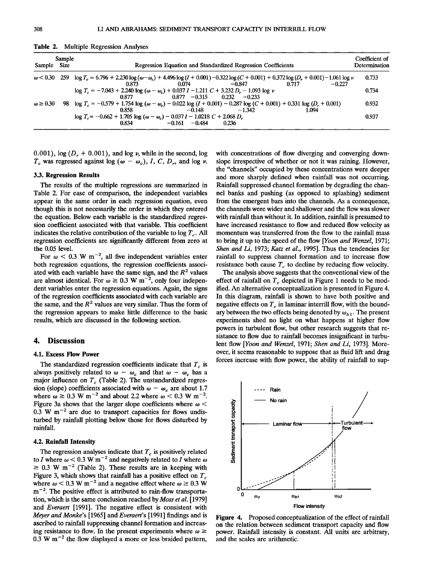| Sample Size        | Sample | <b>Regression Equation and Standardized Regression Coefficients</b>                                                                                                                                                     | Coefficient of<br>Determination |
|--------------------|--------|-------------------------------------------------------------------------------------------------------------------------------------------------------------------------------------------------------------------------|---------------------------------|
|                    |        | $\omega$ < 0.30 259 $\log T_c = 6.796 + 2.230 \log (\omega - \omega_c) + 4.496 \log (I + 0.001) - 0.322 \log (C + 0.001) + 0.372 \log (D_r + 0.001) - 1.061 \log \nu$<br>$0.074$ $-0.847$<br>በ 717<br>$-0.227$<br>0.873 | 0.733                           |
|                    |        | $\log T_c = -7.043 + 2.240 \log (\omega - \omega_c) + 0.037 I - 1.211 C + 3.232 D_r - 1.093 \log \nu$<br>$0.877$ $0.877$ $-0.315$ $0.232$ $-0.233$                                                                      | 0.734                           |
| $\omega \geq 0.30$ |        | 98 $\log T_c = -0.579 + 1.754 \log (\omega - \omega_c) - 0.022 \log (I + 0.001) - 0.287 \log (C + 0.001) + 0.331 \log (D_r + 0.001)$<br>$-1,342$<br>$-0.148$<br>0.858<br>1.094                                          | 0.932                           |
|                    |        | $\log T_c = -0.662 + 1.705 \log (\omega - \omega_c) - 0.037 I - 1.0218 C + 2.068 D_r$<br>$0.834$ $-0.161$ $-0.484$<br>0.236                                                                                             | 0.937                           |

**Table 2. Multiple Regression Analyses** 

0.001),  $log(D_r + 0.001)$ , and  $log \nu$ , while in the second,  $log$  $T_c$  was regressed against log ( $\omega - \omega_c$ ), *I*, *C*, *D<sub>r</sub>*, and log *v*.

## **3.3. Regression Results**

**The results of the multiple regressions are summarized in Table 2. For ease of comparison, the independent variables appear in the same order in each regression equation, even though this is not necessarily the order in which they entered the equation. Below each variable is the standardized regression coefficient associated with that variable. This coefficient**  indicates the relative contribution of the variable to  $\log T_c$ . All **regression coefficients are significantly different from zero at the 0.05 level.** 

For  $\omega$  < 0.3 W m<sup>-2</sup>, all five independent variables enter **both regression equations, the regression coefficients associ**ated with each variable have the same sign, and the  $R<sup>2</sup>$  values are almost identical. For  $\omega \ge 0.3$  W m<sup>-2</sup>, only four indepen**dent variables enter the regression equations. Again, the signs of the regression coefficients associated with each variable are**  the same, and the  $R<sup>2</sup>$  values are very similar. Thus the form of **the regression appears to make little difference to the basic results, which are discussed in the following section.** 

## **4. Discussion**

### **4.1. Excess Flow Power**

The standardized regression coefficients indicate that  $T_c$  is always positively related to  $\omega - \omega_c$  and that  $\omega - \omega_c$  has a major influence on T<sub>c</sub> (Table 2). The unstandardized regression (slope) coefficients associated with  $\omega - \omega_c$  are about 1.7 where  $\omega \ge 0.3$  W m<sup>-2</sup> and about 2.2 where  $\omega < 0.3$  W m<sup>-2</sup>. Figure 3a shows that the larger slope coefficients where  $\omega$  < 0.3 W m<sup>-2</sup> are due to transport capacities for flows undis**turbed by rainfall plotting below those for flows disturbed by rainfall.** 

## **4.2. Rainfall Intensity**

The regression analyses indicate that  $T_c$  is positively related to I where  $\omega$  < 0.3 W m<sup>-2</sup> and negatively related to I where  $\omega$  $\geq$  0.3 W m<sup>-2</sup> (Table 2). These results are in keeping with Figure 3, which shows that rainfall has a positive effect on  $T_c$ where  $\omega$  < 0.3 W m<sup>-2</sup> and a negative effect where  $\omega \ge 0.3$  W m<sup>-2</sup>. The positive effect is attributed to rain-flow transporta**tion, which is the same conclusion reached by Moss et al. [1979] and Everaert [1991]. The negative effect is consistent with Meyer and Monke's [1965] and Everaert's [1991] findings and is ascribed to rainfall suppressing channel formation and increas**ing resistance to flow. In the present experiments where  $\omega \ge$ **0.3 W m -2 the flow displayed a more or less braided pattern,** 

**with concentrations of flow diverging and converging downslope irrespective of whether or not it was raining. However, the "channels" occupied by these concentrations were deeper and more sharply defined when rainfall was not occurring. Rainfall suppressed channel formation by degrading the channel banks and pushing (as opposed to splashing) sediment from the emergent bars into the channels. As a consequence, the channels were wider and shallower and the flow was slower with rainfall than without it. In addition, rainfall is presumed to have increased resistance to flow and reduced flow velocity as momentum was transferred from the flow to the rainfall mass to bring it up to the speed of the flow [Yoon and Wenzel, 1971;**  Shen and Li, 1973; Katz et al., 1995]. Thus the tendencies for **rainfall to suppress channel formation and to increase flow**  resistance both cause  $T_c$  to decline by reducing flow velocity.

**The analysis above suggests that the conventional view of the**  effect of rainfall on  $T_c$  depicted in Figure 1 needs to be mod**ified. An alternative conceptualization is presented in Figure 4. In this diagram, rainfall is shown to have both positive and**  negative effects on  $T_c$  in laminar interrill flow, with the boundary between the two effects being denoted by  $\omega_{h1}$ . The present **experiments shed no light on what happens at higher flow powers in turbulent flow, but other research suggests that resistance to flow due to rainfall becomes insignificant in turbulent flow [Yoon and Wenzel, 1971; Shen and Li, 1973]. Moreover, it seems reasonable to suppose that as fluid lift and drag forces increase with flow power, the ability of rainfall to sup-**



**Figure 4. Proposed conceptualization of the effect of rainfall on the relation between sediment transport capacity and flow power. Rainfall intensity is constant. All units are arbitrary, and the scales are arithmetic.**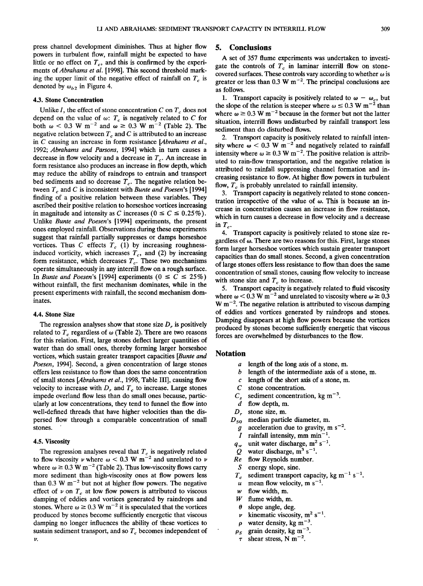**press channel development diminishes. Thus at higher flow powers in turbulent flow, rainfall might be expected to have**  little or no effect on  $T_c$ , and this is confirmed by the experi**ments of Abrahams et al. [1998]. This second threshold mark**ing the upper limit of the negative effect of rainfall on  $T_c$  is denoted by  $\omega_{b2}$  in Figure 4.

#### **4.3. Stone Concentration**

Unlike I, the effect of stone concentration  $C$  on  $T_c$  does not depend on the value of  $\omega$ :  $T_c$  is negatively related to C for both  $\omega$  < 0.3 W m<sup>-2</sup> and  $\omega \ge 0.3$  W m<sup>-2</sup> (Table 2). The negative relation between  $T_c$  and  $C$  is attributed to an increase **in C causing an increase in form resistance [Abrahams et al., 1992; Abrahams and Parsons, 1994] which in turn causes a**  decrease in flow velocity and a decrease in  $T_c$ . An increase in **form resistance also produces an increase in flow depth, which may reduce the ability of raindrops to entrain and transport**  bed sediments and so decrease  $T_c$ . The negative relation between  $T_c$  and C is inconsistent with *Bunte and Poesen's* [1994] **finding of a positive relation between these variables. They ascribed their positive relation to horseshoe vortices increasing**  in magnitude and intensity as C increases ( $0 \le C \le 0.25\%$ ). **Unlike Bunte and Poesen's [1994] experiments, the present ones employed rainfall. Observations during these experiments**  suggest that rainfall partially suppresses or damps horseshoe vortices. Thus C effects  $T_c$  (1) by increasing roughnessinduced vorticity, which increases  $T_c$ , and (2) by increasing form resistance, which decreases  $T_c$ . These two mechanisms **operate simultaneously in any interrill flow on a rough surface.**  In Bunte and Poesen's [1994] experiments  $(0 \leq C \leq 25\%)$ **without rainfall, the first mechanism dominates, while in the present experiments with rainfall, the second mechanism dominates.** 

#### **4.4. Stone Size**

The regression analyses show that stone size  $D<sub>r</sub>$  is positively related to  $T_c$  regardless of  $\omega$  (Table 2). There are two reasons **for this relation. First, large stones deflect larger quantities of water than do small ones, thereby forming larger horseshoe vortices, which sustain greater transport capacities [Bunte and Poesen, 1994]. Second, a given concentration of large stones offers less resistance to flow than does the same concentration of small stones [Abrahams et al., 1998, Table III], causing flow**  velocity to increase with  $D<sub>r</sub>$  and  $T<sub>c</sub>$  to increase. Large stones **impede overland flow less than do small ones because, particularly at low concentrations, they tend to funnel the flow into well-defined threads that have higher velocities than the dispersed flow through a comparable concentration of small stones.** 

## **4.5. Viscosity**

The regression analyses reveal that  $T_c$  is negatively related to flow viscosity  $\nu$  where  $\omega$  < 0.3 W m<sup>-2</sup> and unrelated to  $\nu$ where  $\omega \ge 0.3$  W m<sup>-2</sup> (Table 2). Thus low-viscosity flows carry **more sediment than high-viscosity ones at flow powers less**  than  $0.3 \text{ W m}^{-2}$  but not at higher flow powers. The negative effect of  $\nu$  on  $T_c$  at low flow powers is attributed to viscous **damping of eddies and vortices generated by raindrops and**  stones. Where  $\omega \ge 0.3 \text{ W m}^{-2}$  it is speculated that the vortices **produced by stones become sufficiently energetic that viscous damping no longer influences the ability of these vortices to**  sustain sediment transport, and so  $T_c$  becomes independent of **1•.** 

## **5. Conclusions**

**A set of 357 flume experiments was undertaken to investi**gate the controls of  $T_c$  in laminar interrill flow on stonecovered surfaces. These controls vary according to whether  $\omega$  is greater or less than  $0.3 \text{ W m}^{-2}$ . The principal conclusions are **as follows.** 

**1.** Transport capacity is positively related to  $\omega - \omega_c$ , but the slope of the relation is steeper where  $\omega \leq 0.3$  W m<sup>-2</sup> than where  $\omega \ge 0.3$  W m<sup>-2</sup> because in the former but not the latter **situation, interrill flows undisturbed by rainfall transport less sediment than do disturbed flows.** 

**2. Transport capacity is positively related to rainfall inten**sity where  $\omega$  < 0.3 W m<sup>-2</sup> and negatively related to rainfall intensity where  $\omega \ge 0.3 \text{ W m}^{-2}$ . The positive relation is attrib**uted to rain-flow transportation, and the negative relation is attributed to rainfall suppressing channel formation and increasing resistance to flow. At higher flow powers in turbulent**  flow,  $T_c$  is probably unrelated to rainfall intensity.

**3. Transport capacity is negatively related to stone concen**tration irrespective of the value of  $\omega$ . This is because an in**crease in concentration causes an increase in flow resistance, which in turn causes a decrease in flow velocity and a decrease**   $\mathbf{in}$   $T_c$ .

**4. Transport capacity is positively related to stone size re**gardless of  $\omega$ . There are two reasons for this. First, large stones **form larger horseshoe vortices which sustain greater transport capacities than do small stones. Second, a given concentration of large stones offers less resistance to flow than does the same concentration of small stones, causing flow velocity to increase**  with stone size and  $T_c$  to increase.

**5. Transport capacity is negatively related to fluid viscosity**  where  $\omega$  < 0.3 W m<sup>-2</sup> and unrelated to viscosity where  $\omega$  ≥ 0.3 **W m -2. The negative relation is attributed to viscous damping of eddies and vortices generated by raindrops and stones. Damping disappears at high flow powers because the vortices produced by stones become sufficiently energetic that viscous forces are overwhelmed by disturbances to the flow.** 

# **Notation**

- **a length of the long axis of a stone, m.**
- **b length of the intermediate axis of a stone, m.**
- **c length of the short axis of a stone, m.**
- stone concentration.
- $C_s$  sediment concentration, kg m<sup>-3</sup>.<br>  $d$  flow depth. m.
- *d* flow depth, m.  $D_r$  stone size, m.
- 
- $D_r$  stone size, m.<br> $D_{50}$  median partic median particle diameter, m.
	- *g* acceleration due to gravity, m s<sup>-2</sup>.<br>*I* rainfall intensity, mm min<sup>-1</sup>.
	- rainfall intensity, mm min<sup> $-1$ </sup>
- $q_w$  unit water discharge, m<sup>2</sup> s<sup>-1</sup>.<br>
O water discharge, m<sup>3</sup> s<sup>-1</sup>.
- $Q$  water discharge,  $m^3 s^{-1}$ .<br> *Re* flow Reynolds number.
- **Re flow Reynolds number.**
- 
- $S$  energy slope, sine.<br> $T_c$  sediment transport sediment transport capacity, kg  $m^{-1}$  s<sup>-1</sup>.
- $u$  mean flow velocity, m s<sup>-1</sup>.
- $w$  flow width, m.  $W$  flume width.  $m$
- flume width, m.
- **0 slope angle, deg.**
- *v* kinematic viscosity,  $m^2 s^{-1}$ .
- $\rho$  water density, kg m<sup>-3</sup>.
- $\rho_s$  grain density, kg m<sup>-3</sup>.
- shear stress,  $N \text{ m}^{-2}$ .